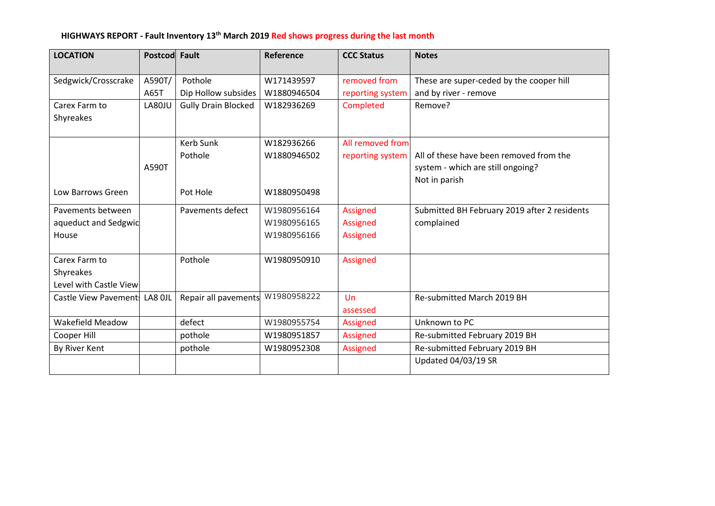# **HIGHWAYS REPORT - Fault Inventory 13th March 2019 Red shows progress during the last month**

| <b>LOCATION</b>               | Postcod Fault |                            | Reference   | <b>CCC Status</b> | <b>Notes</b>                                 |
|-------------------------------|---------------|----------------------------|-------------|-------------------|----------------------------------------------|
|                               | A590T/        | Pothole                    | W171439597  | removed from      |                                              |
| Sedgwick/Crosscrake           |               |                            |             |                   | These are super-ceded by the cooper hill     |
|                               | A65T          | Dip Hollow subsides        | W1880946504 | reporting system  | and by river - remove                        |
| Carex Farm to                 | LA80JU        | <b>Gully Drain Blocked</b> | W182936269  | Completed         | Remove?                                      |
| Shyreakes                     |               |                            |             |                   |                                              |
|                               |               | Kerb Sunk                  | W182936266  | All removed from  |                                              |
|                               |               | Pothole                    | W1880946502 | reporting system  | All of these have been removed from the      |
|                               | A590T         |                            |             |                   | system - which are still ongoing?            |
|                               |               |                            |             |                   | Not in parish                                |
| Low Barrows Green             |               | Pot Hole                   | W1880950498 |                   |                                              |
| Pavements between             |               | Pavements defect           | W1980956164 | Assigned          | Submitted BH February 2019 after 2 residents |
| aqueduct and Sedgwic          |               |                            | W1980956165 | Assigned          | complained                                   |
| House                         |               |                            | W1980956166 | Assigned          |                                              |
|                               |               |                            |             |                   |                                              |
| Carex Farm to                 |               | Pothole                    | W1980950910 | <b>Assigned</b>   |                                              |
| Shyreakes                     |               |                            |             |                   |                                              |
| Level with Castle View        |               |                            |             |                   |                                              |
| Castle View Pavement: LA8 OJL |               | Repair all pavements       | W1980958222 | Un                | Re-submitted March 2019 BH                   |
|                               |               |                            |             | assessed          |                                              |
| <b>Wakefield Meadow</b>       |               | defect                     | W1980955754 | <b>Assigned</b>   | Unknown to PC                                |
| Cooper Hill                   |               | pothole                    | W1980951857 | Assigned          | Re-submitted February 2019 BH                |
| By River Kent                 |               | pothole                    | W1980952308 | Assigned          | Re-submitted February 2019 BH                |
|                               |               |                            |             |                   | Updated 04/03/19 SR                          |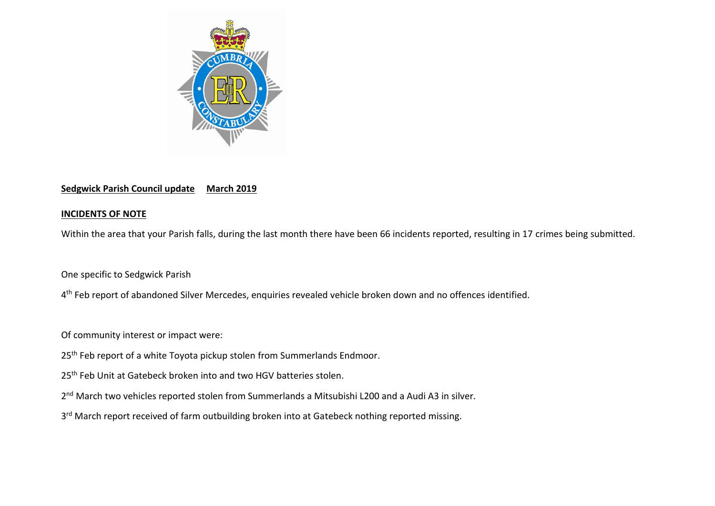

# **Sedgwick Parish Council update March 2019**

## **INCIDENTS OF NOTE**

Within the area that your Parish falls, during the last month there have been 66 incidents reported, resulting in 17 crimes being submitted.

One specific to Sedgwick Parish

4<sup>th</sup> Feb report of abandoned Silver Mercedes, enquiries revealed vehicle broken down and no offences identified.

Of community interest or impact were:

- 25<sup>th</sup> Feb report of a white Toyota pickup stolen from Summerlands Endmoor.
- 25<sup>th</sup> Feb Unit at Gatebeck broken into and two HGV batteries stolen.
- 2<sup>nd</sup> March two vehicles reported stolen from Summerlands a Mitsubishi L200 and a Audi A3 in silver.
- 3<sup>rd</sup> March report received of farm outbuilding broken into at Gatebeck nothing reported missing.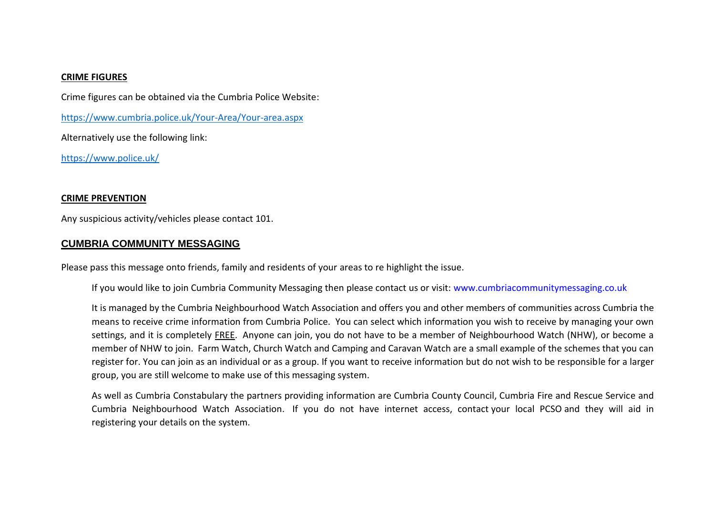#### **CRIME FIGURES**

Crime figures can be obtained via the Cumbria Police Website:

<https://www.cumbria.police.uk/Your-Area/Your-area.aspx>

Alternatively use the following link:

<https://www.police.uk/>

#### **CRIME PREVENTION**

Any suspicious activity/vehicles please contact 101.

### **CUMBRIA COMMUNITY MESSAGING**

Please pass this message onto friends, family and residents of your areas to re highlight the issue.

If you would like to join Cumbria Community Messaging then please contact us or visit: [www.cumbriacommunitymessaging.co.uk](http://www.cumbriacommunitymessaging.co.uk/)

It is managed by the Cumbria Neighbourhood Watch Association and offers you and other members of communities across Cumbria the means to receive crime information from Cumbria Police. You can select which information you wish to receive by managing your own settings, and it is completely FREE. Anyone can join, you do not have to be a member of Neighbourhood Watch (NHW), or become a member of NHW to join. Farm Watch, Church Watch and Camping and Caravan Watch are a small example of the schemes that you can register for. You can join as an individual or as a group. If you want to receive information but do not wish to be responsible for a larger group, you are still welcome to make use of this messaging system.

As well as Cumbria Constabulary the partners providing information are Cumbria County Council, Cumbria Fire and Rescue Service and Cumbria Neighbourhood Watch Association. If you do not have internet access, contact your local PCSO and they will aid in registering your details on the system.